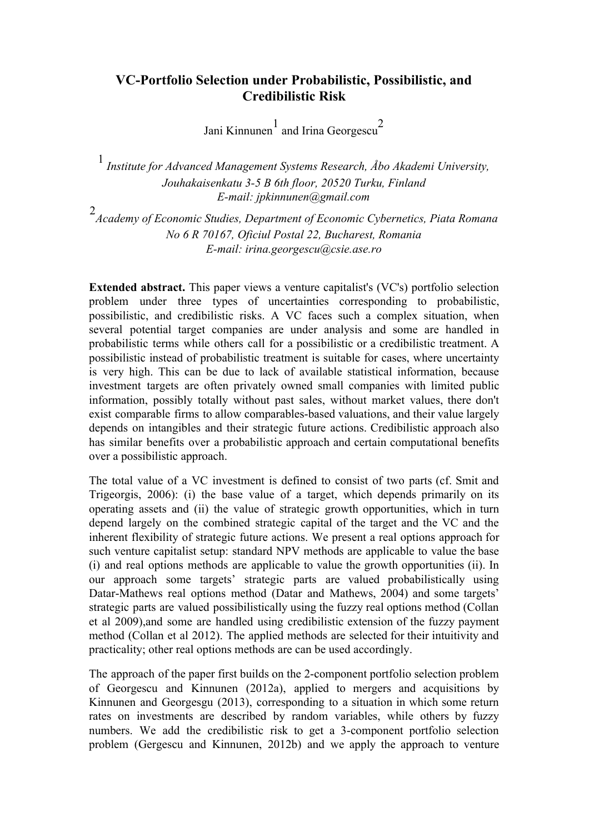## **VC-Portfolio Selection under Probabilistic, Possibilistic, and Credibilistic Risk**

Jani Kinnunen $1$  and Irina Georgescu<sup>2</sup>

<sup>1</sup>*Institute for Advanced Management Systems Research, Åbo Akademi University, Jouhakaisenkatu 3-5 B 6th floor, 20520 Turku, Finland E-mail: jpkinnunen@gmail.com*

2 *Academy of Economic Studies, Department of Economic Cybernetics, Piata Romana No 6 R 70167, Oficiul Postal 22, Bucharest, Romania E-mail: irina.georgescu@csie.ase.ro*

**Extended abstract.** This paper views a venture capitalist's (VC's) portfolio selection problem under three types of uncertainties corresponding to probabilistic, possibilistic, and credibilistic risks. A VC faces such a complex situation, when several potential target companies are under analysis and some are handled in probabilistic terms while others call for a possibilistic or a credibilistic treatment. A possibilistic instead of probabilistic treatment is suitable for cases, where uncertainty is very high. This can be due to lack of available statistical information, because investment targets are often privately owned small companies with limited public information, possibly totally without past sales, without market values, there don't exist comparable firms to allow comparables-based valuations, and their value largely depends on intangibles and their strategic future actions. Credibilistic approach also has similar benefits over a probabilistic approach and certain computational benefits over a possibilistic approach.

The total value of a VC investment is defined to consist of two parts (cf. Smit and Trigeorgis, 2006): (i) the base value of a target, which depends primarily on its operating assets and (ii) the value of strategic growth opportunities, which in turn depend largely on the combined strategic capital of the target and the VC and the inherent flexibility of strategic future actions. We present a real options approach for such venture capitalist setup: standard NPV methods are applicable to value the base (i) and real options methods are applicable to value the growth opportunities (ii). In our approach some targets' strategic parts are valued probabilistically using Datar-Mathews real options method (Datar and Mathews, 2004) and some targets' strategic parts are valued possibilistically using the fuzzy real options method (Collan et al 2009),and some are handled using credibilistic extension of the fuzzy payment method (Collan et al 2012). The applied methods are selected for their intuitivity and practicality; other real options methods are can be used accordingly.

The approach of the paper first builds on the 2-component portfolio selection problem of Georgescu and Kinnunen (2012a), applied to mergers and acquisitions by Kinnunen and Georgesgu (2013), corresponding to a situation in which some return rates on investments are described by random variables, while others by fuzzy numbers. We add the credibilistic risk to get a 3-component portfolio selection problem (Gergescu and Kinnunen, 2012b) and we apply the approach to venture